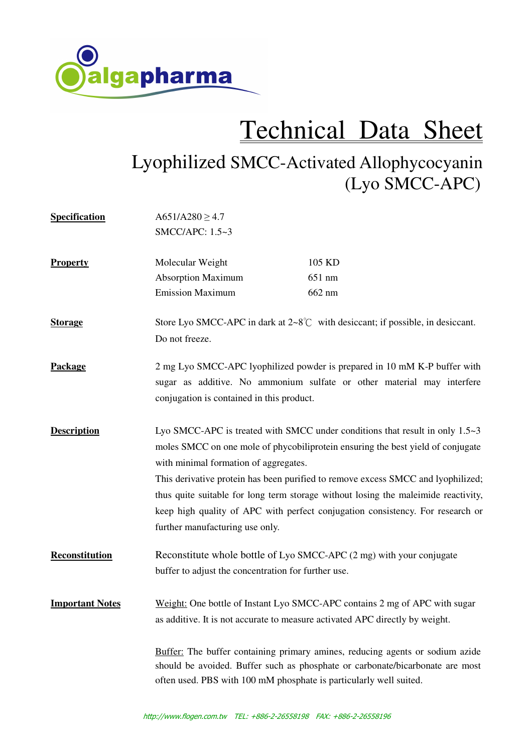

## Technical Data Sheet

## Lyophilized SMCC-Activated Allophycocyanin (Lyo SMCC-APC)

| <b>Specification</b>   | $A651/A280 \ge 4.7$                                                                                                                                                  |        |
|------------------------|----------------------------------------------------------------------------------------------------------------------------------------------------------------------|--------|
|                        | SMCC/APC: 1.5~3                                                                                                                                                      |        |
| <b>Property</b>        | Molecular Weight                                                                                                                                                     | 105 KD |
|                        | <b>Absorption Maximum</b>                                                                                                                                            | 651 nm |
|                        | <b>Emission Maximum</b>                                                                                                                                              | 662 nm |
| <b>Storage</b>         | Store Lyo SMCC-APC in dark at $2{\sim}8^{\circ}$ with desiccant; if possible, in desiccant.                                                                          |        |
|                        | Do not freeze.                                                                                                                                                       |        |
| Package                | 2 mg Lyo SMCC-APC lyophilized powder is prepared in 10 mM K-P buffer with                                                                                            |        |
|                        | sugar as additive. No ammonium sulfate or other material may interfere                                                                                               |        |
|                        | conjugation is contained in this product.                                                                                                                            |        |
| <b>Description</b>     | Lyo SMCC-APC is treated with SMCC under conditions that result in only $1.5~3$                                                                                       |        |
|                        | moles SMCC on one mole of phycobiliprotein ensuring the best yield of conjugate                                                                                      |        |
|                        | with minimal formation of aggregates.                                                                                                                                |        |
|                        | This derivative protein has been purified to remove excess SMCC and lyophilized;                                                                                     |        |
|                        | thus quite suitable for long term storage without losing the maleimide reactivity,<br>keep high quality of APC with perfect conjugation consistency. For research or |        |
|                        |                                                                                                                                                                      |        |
|                        | further manufacturing use only.                                                                                                                                      |        |
| Reconstitution         | Reconstitute whole bottle of Lyo SMCC-APC (2 mg) with your conjugate                                                                                                 |        |
|                        | buffer to adjust the concentration for further use.                                                                                                                  |        |
| <b>Important Notes</b> | Weight: One bottle of Instant Lyo SMCC-APC contains 2 mg of APC with sugar                                                                                           |        |
|                        | as additive. It is not accurate to measure activated APC directly by weight.                                                                                         |        |
|                        | Buffer: The buffer containing primary amines, reducing agents or sodium azide                                                                                        |        |
|                        | should be avoided. Buffer such as phosphate or carbonate/bicarbonate are most<br>often used. PBS with 100 mM phosphate is particularly well suited.                  |        |